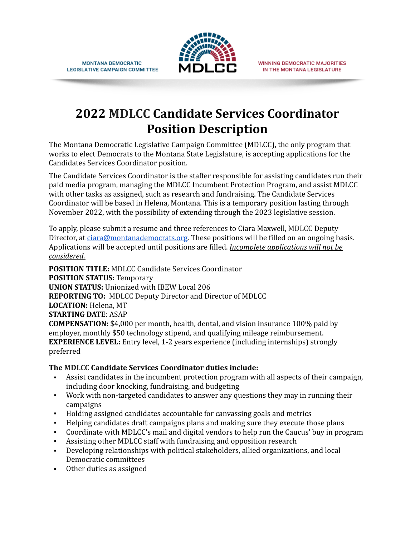

**WINNING DEMOCRATIC MAJORITIES** IN THE MONTANA LEGISLATURE

## **2022 MDLCC Candidate Services Coordinator Position Description**

The Montana Democratic Legislative Campaign Committee (MDLCC), the only program that works to elect Democrats to the Montana State Legislature, is accepting applications for the Candidates Services Coordinator position.

The Candidate Services Coordinator is the staffer responsible for assisting candidates run their paid media program, managing the MDLCC Incumbent Protection Program, and assist MDLCC with other tasks as assigned, such as research and fundraising. The Candidate Services Coordinator will be based in Helena, Montana. This is a temporary position lasting through November 2022, with the possibility of extending through the 2023 legislative session.

To apply, please submit a resume and three references to Ciara Maxwell, MDLCC Deputy Director, at [ciara@montanademocrats.org.](mailto:ciara@montanademocrats.org) These positions will be filled on an ongoing basis. Applications will be accepted until positions are filled. *Incomplete applications will not be considered.*

**POSITION TITLE:** MDLCC Candidate Services Coordinator **POSITION STATUS:** Temporary **UNION STATUS:** Unionized with IBEW Local 206 **REPORTING TO:** MDLCC Deputy Director and Director of MDLCC **LOCATION:** Helena, MT **STARTING DATE**: ASAP **COMPENSATION:** \$4,000 per month, health, dental, and vision insurance 100% paid by employer, monthly \$50 technology stipend, and qualifying mileage reimbursement. **EXPERIENCE LEVEL:** Entry level, 1-2 years experience (including internships) strongly preferred

## **The MDLCC Candidate Services Coordinator duties include:**

- Assist candidates in the incumbent protection program with all aspects of their campaign, including door knocking, fundraising, and budgeting
- Work with non-targeted candidates to answer any questions they may in running their campaigns
- Holding assigned candidates accountable for canvassing goals and metrics
- Helping candidates draft campaigns plans and making sure they execute those plans
- Coordinate with MDLCC's mail and digital vendors to help run the Caucus' buy in program
- Assisting other MDLCC staff with fundraising and opposition research
- Developing relationships with political stakeholders, allied organizations, and local Democratic committees
- Other duties as assigned